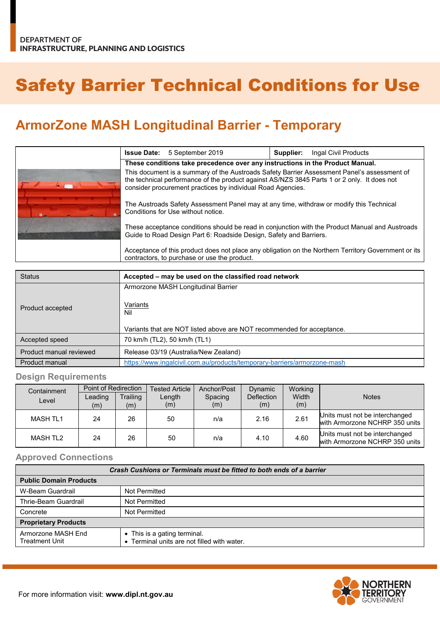# Safety Barrier Technical Conditions for Use

## **ArmorZone MASH Longitudinal Barrier - Temporary**

|  | <b>Issue Date:</b>                                                                                                                                                                                                                                                                                                                                                                          | 5 September 2019 | Supplier: | Ingal Civil Products |  |
|--|---------------------------------------------------------------------------------------------------------------------------------------------------------------------------------------------------------------------------------------------------------------------------------------------------------------------------------------------------------------------------------------------|------------------|-----------|----------------------|--|
|  | These conditions take precedence over any instructions in the Product Manual.                                                                                                                                                                                                                                                                                                               |                  |           |                      |  |
|  | This document is a summary of the Austroads Safety Barrier Assessment Panel's assessment of<br>the technical performance of the product against AS/NZS 3845 Parts 1 or 2 only. It does not<br>consider procurement practices by individual Road Agencies.<br>The Austroads Safety Assessment Panel may at any time, withdraw or modify this Technical<br>Conditions for Use without notice. |                  |           |                      |  |
|  |                                                                                                                                                                                                                                                                                                                                                                                             |                  |           |                      |  |
|  | These acceptance conditions should be read in conjunction with the Product Manual and Austroads<br>Guide to Road Design Part 6: Roadside Design, Safety and Barriers.                                                                                                                                                                                                                       |                  |           |                      |  |
|  | Acceptance of this product does not place any obligation on the Northern Territory Government or its<br>contractors, to purchase or use the product.                                                                                                                                                                                                                                        |                  |           |                      |  |

| <b>Status</b>           | Accepted – may be used on the classified road network                    |  |  |  |
|-------------------------|--------------------------------------------------------------------------|--|--|--|
|                         | Armorzone MASH Longitudinal Barrier                                      |  |  |  |
| Product accepted        | Variants<br>Nil                                                          |  |  |  |
|                         | Variants that are NOT listed above are NOT recommended for acceptance.   |  |  |  |
| Accepted speed          | 70 km/h (TL2), 50 km/h (TL1)                                             |  |  |  |
| Product manual reviewed | Release 03/19 (Australia/New Zealand)                                    |  |  |  |
| Product manual          | https://www.ingalcivil.com.au/products/temporary-barriers/armorzone-mash |  |  |  |

#### **Design Requirements**

| Containment     | Point of Redirection |          | <b>Tested Article</b> | Anchor/Post | <b>Dynamic</b>    | Working |                                                                  |
|-----------------|----------------------|----------|-----------------------|-------------|-------------------|---------|------------------------------------------------------------------|
| Level           | Leading              | Trailing | Length                | Spacing     | <b>Deflection</b> | Width   | <b>Notes</b>                                                     |
|                 | (m)                  | (m)      | (m)                   | (m)         | (m)               | (m)     |                                                                  |
| <b>MASH TL1</b> | 24                   | 26       | 50                    | n/a         | 2.16              | 2.61    | Units must not be interchanged<br>with Armorzone NCHRP 350 units |
| MASH TL2        | 24                   | 26       | 50                    | n/a         | 4.10              | 4.60    | Units must not be interchanged<br>with Armorzone NCHRP 350 units |

#### **Approved Connections**

| Crash Cushions or Terminals must be fitted to both ends of a barrier |                                                                             |  |  |  |
|----------------------------------------------------------------------|-----------------------------------------------------------------------------|--|--|--|
| <b>Public Domain Products</b>                                        |                                                                             |  |  |  |
| W-Beam Guardrail                                                     | Not Permitted                                                               |  |  |  |
| Thrie-Beam Guardrail                                                 | Not Permitted                                                               |  |  |  |
| Concrete                                                             | Not Permitted                                                               |  |  |  |
| <b>Proprietary Products</b>                                          |                                                                             |  |  |  |
| Armorzone MASH End<br><b>Treatment Unit</b>                          | • This is a gating terminal.<br>• Terminal units are not filled with water. |  |  |  |